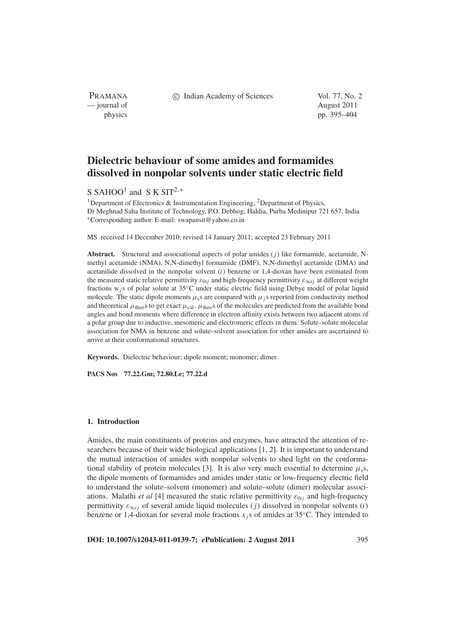PRAMANA — journal of August 2011

c Indian Academy of Sciences Vol. 77, No. 2

physics pp. 395–404

# **Dielectric behaviour of some amides and formamides dissolved in nonpolar solvents under static electric field**

## S SAHOO<sup>1</sup> and S K SIT<sup>2,\*</sup>

<sup>1</sup>Department of Electronics & Instrumentation Engineering, <sup>2</sup>Department of Physics, Dr Meghnad Saha Institute of Technology, P.O. Debhog, Haldia, Purba Medinipur 721 657, India <sup>∗</sup>Corresponding author. E-mail: swapansit@yahoo.co.in

MS received 14 December 2010; revised 14 January 2011; accepted 23 February 2011

**Abstract.** Structural and associational aspects of polar amides (*j*) like formamide, acetamide, Nmethyl acetamide (NMA), N,N-dimethyl formamide (DMF), N,N-dimethyl acetamide (DMA) and acetanilide dissolved in the nonpolar solvent (*i*) benzene or 1,4-dioxan have been estimated from the measured static relative permittivity  $\varepsilon_{0ij}$  and high-frequency permittivity  $\varepsilon_{\infty ij}$  at different weight fractions w*j*s of polar solute at 35◦C under static electric field using Debye model of polar liquid molecule. The static dipole moments  $\mu_s$ s are compared with  $\mu_i$ s reported from conductivity method and theoretical  $\mu_{theo}$ s to get exact  $\mu_{cal}$ .  $\mu_{theo}$ s of the molecules are predicted from the available bond angles and bond moments where difference in electron affinity exists between two adjacent atoms of a polar group due to inductive, mesomeric and electromeric effects in them. Solute–solute molecular association for NMA in benzene and solute–solvent association for other amides are ascertained to arrive at their conformational structures.

**Keywords.** Dielectric behaviour; dipole moment; monomer; dimer.

**PACS Nos 77.22.Gm; 72.80.Le; 77.22.d**

#### **1. Introduction**

Amides, the main constituents of proteins and enzymes, have attracted the attention of researchers because of their wide biological applications [1, 2]. It is important to understand the mutual interaction of amides with nonpolar solvents to shed light on the conformational stability of protein molecules [3]. It is also very much essential to determine  $\mu$ <sub>s</sub>s, the dipole moments of formamides and amides under static or low-frequency electric field to understand the solute–solvent (monomer) and solute–solute (dimer) molecular associations. Malathi *et al* [4] measured the static relative permittivity  $\varepsilon_{0ij}$  and high-frequency permittivity  $\varepsilon_{\infty i j}$  of several amide liquid molecules (*j*) dissolved in nonpolar solvents (*i*) benzene or 1,4-dioxan for several mole fractions  $x_j$  is of amides at 35 °C. They intended to

**DOI: 10.1007/s12043-011-0139-7;** *e***Publication: 2 August 2011** 395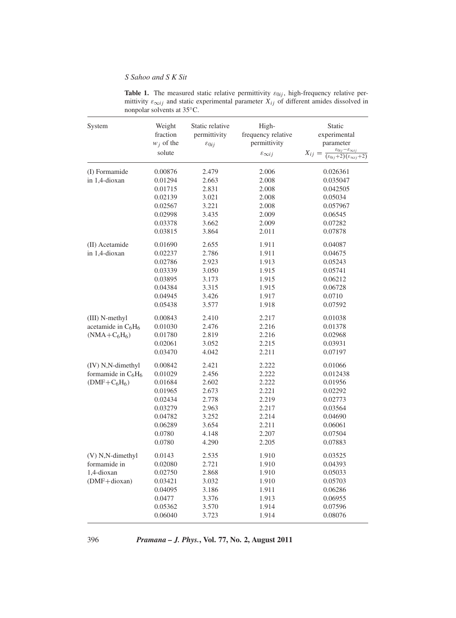**Table 1.** The measured static relative permittivity  $\varepsilon_{0ij}$ , high-frequency relative permittivity  $\varepsilon_{\infty i j}$  and static experimental parameter  $X_{i j}$  of different amides dissolved in nonpolar solvents at 35◦C.

| System                | Weight<br>fraction<br>$w_i$ of the<br>solute | Static relative<br>permittivity<br>$\varepsilon_{0ij}$ | High-<br>frequency relative<br>permittivity<br>$\varepsilon_{\infty ij}$ | Static<br>experimental<br>parameter<br>$\varepsilon_{0ij}$<br>$X_{ij} =$<br>$(\varepsilon_{0ij}+2)(\varepsilon_{\infty ij}+2)$ |
|-----------------------|----------------------------------------------|--------------------------------------------------------|--------------------------------------------------------------------------|--------------------------------------------------------------------------------------------------------------------------------|
| (I) Formamide         | 0.00876                                      | 2.479                                                  | 2.006                                                                    | 0.026361                                                                                                                       |
| in 1,4-dioxan         | 0.01294                                      | 2.663                                                  | 2.008                                                                    | 0.035047                                                                                                                       |
|                       | 0.01715                                      | 2.831                                                  | 2.008                                                                    | 0.042505                                                                                                                       |
|                       | 0.02139                                      | 3.021                                                  | 2.008                                                                    | 0.05034                                                                                                                        |
|                       | 0.02567                                      | 3.221                                                  | 2.008                                                                    | 0.057967                                                                                                                       |
|                       | 0.02998                                      | 3.435                                                  | 2.009                                                                    | 0.06545                                                                                                                        |
|                       | 0.03378                                      | 3.662                                                  | 2.009                                                                    | 0.07282                                                                                                                        |
|                       | 0.03815                                      | 3.864                                                  | 2.011                                                                    | 0.07878                                                                                                                        |
| (II) Acetamide        | 0.01690                                      | 2.655                                                  | 1.911                                                                    | 0.04087                                                                                                                        |
| in 1,4-dioxan         | 0.02237                                      | 2.786                                                  | 1.911                                                                    | 0.04675                                                                                                                        |
|                       | 0.02786                                      | 2.923                                                  | 1.913                                                                    | 0.05243                                                                                                                        |
|                       | 0.03339                                      | 3.050                                                  | 1.915                                                                    | 0.05741                                                                                                                        |
|                       | 0.03895                                      | 3.173                                                  | 1.915                                                                    | 0.06212                                                                                                                        |
|                       | 0.04384                                      | 3.315                                                  | 1.915                                                                    | 0.06728                                                                                                                        |
|                       | 0.04945                                      | 3.426                                                  | 1.917                                                                    | 0.0710                                                                                                                         |
|                       | 0.05438                                      | 3.577                                                  | 1.918                                                                    | 0.07592                                                                                                                        |
| (III) N-methyl        | 0.00843                                      | 2.410                                                  | 2.217                                                                    | 0.01038                                                                                                                        |
| acetamide in $C_6H_6$ | 0.01030                                      | 2.476                                                  | 2.216                                                                    | 0.01378                                                                                                                        |
| $(NMA + C_6H_6)$      | 0.01780                                      | 2.819                                                  | 2.216                                                                    | 0.02968                                                                                                                        |
|                       | 0.02061                                      | 3.052                                                  | 2.215                                                                    | 0.03931                                                                                                                        |
|                       | 0.03470                                      | 4.042                                                  | 2.211                                                                    | 0.07197                                                                                                                        |
| (IV) N,N-dimethyl     | 0.00842                                      | 2.421                                                  | 2.222                                                                    | 0.01066                                                                                                                        |
| formamide in $C_6H_6$ | 0.01029                                      | 2.456                                                  | 2.222                                                                    | 0.012438                                                                                                                       |
| $(DMF+C6H6)$          | 0.01684                                      | 2.602                                                  | 2.222                                                                    | 0.01956                                                                                                                        |
|                       | 0.01965                                      | 2.673                                                  | 2.221                                                                    | 0.02292                                                                                                                        |
|                       | 0.02434                                      | 2.778                                                  | 2.219                                                                    | 0.02773                                                                                                                        |
|                       | 0.03279                                      | 2.963                                                  | 2.217                                                                    | 0.03564                                                                                                                        |
|                       | 0.04782                                      | 3.252                                                  | 2.214                                                                    | 0.04690                                                                                                                        |
|                       | 0.06289                                      | 3.654                                                  | 2.211                                                                    | 0.06061                                                                                                                        |
|                       | 0.0780                                       | 4.148                                                  | 2.207                                                                    | 0.07504                                                                                                                        |
|                       | 0.0780                                       | 4.290                                                  | 2.205                                                                    | 0.07883                                                                                                                        |
| $(V)$ N,N-dimethyl    | 0.0143                                       | 2.535                                                  | 1.910                                                                    | 0.03525                                                                                                                        |
| formamide in          | 0.02080                                      | 2.721                                                  | 1.910                                                                    | 0.04393                                                                                                                        |
| 1,4-dioxan            | 0.02750                                      | 2.868                                                  | 1.910                                                                    | 0.05033                                                                                                                        |
| $(DMF + dioxan)$      | 0.03421                                      | 3.032                                                  | 1.910                                                                    | 0.05703                                                                                                                        |
|                       | 0.04095                                      | 3.186                                                  | 1.911                                                                    | 0.06286                                                                                                                        |
|                       | 0.0477                                       | 3.376                                                  | 1.913                                                                    | 0.06955                                                                                                                        |
|                       | 0.05362                                      | 3.570                                                  | 1.914                                                                    | 0.07596                                                                                                                        |
|                       | 0.06040                                      | 3.723                                                  | 1.914                                                                    | 0.08076                                                                                                                        |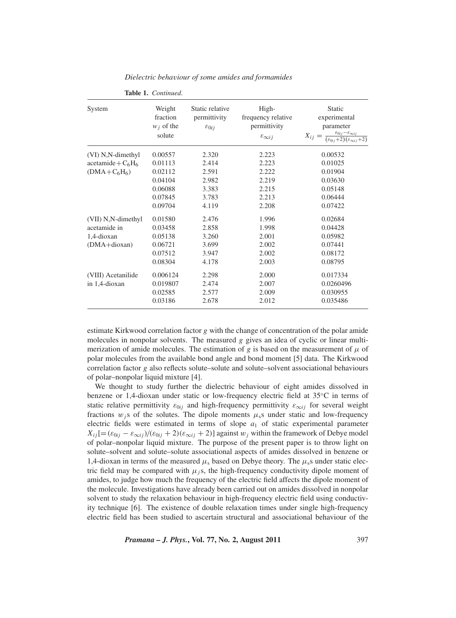| System                                                           | Weight<br>fraction<br>$w_i$ of the<br>solute                              | Static relative<br>permittivity<br>$\varepsilon_{0ij}$      | High-<br>frequency relative<br>permittivity<br>$\varepsilon_{\infty i}$ | Static<br>experimental<br>parameter<br>$X_{ij} = \frac{\varepsilon_{0ij} - \varepsilon_{\infty ij}}{(\varepsilon_{0ij} + 2)(\varepsilon_{\infty ij} + 2)}$ |
|------------------------------------------------------------------|---------------------------------------------------------------------------|-------------------------------------------------------------|-------------------------------------------------------------------------|------------------------------------------------------------------------------------------------------------------------------------------------------------|
| (VI) N,N-dimethyl<br>$acetamide + C6H6$<br>$(DMA + C_6H_6)$      | 0.00557<br>0.01113<br>0.02112<br>0.04104<br>0.06088<br>0.07845<br>0.09704 | 2.320<br>2.414<br>2.591<br>2.982<br>3.383<br>3.783<br>4.119 | 2.223<br>2.223<br>2.222<br>2.219<br>2.215<br>2.213<br>2.208             | 0.00532<br>0.01025<br>0.01904<br>0.03630<br>0.05148<br>0.06444<br>0.07422                                                                                  |
| (VII) N,N-dimethyl<br>acetamide in<br>1,4-dioxan<br>(DMA+dioxan) | 0.01580<br>0.03458<br>0.05138<br>0.06721<br>0.07512<br>0.08304            | 2.476<br>2.858<br>3.260<br>3.699<br>3.947<br>4.178          | 1.996<br>1.998<br>2.001<br>2.002<br>2.002<br>2.003                      | 0.02684<br>0.04428<br>0.05982<br>0.07441<br>0.08172<br>0.08795                                                                                             |
| (VIII) Acetanilide<br>in 1,4-dioxan                              | 0.006124<br>0.019807<br>0.02585<br>0.03186                                | 2.298<br>2.474<br>2.577<br>2.678                            | 2.000<br>2.007<br>2.009<br>2.012                                        | 0.017334<br>0.0260496<br>0.030955<br>0.035486                                                                                                              |

*Dielectric beha*v*iour of some amides and formamides*

**Table 1.** *Continued*.

estimate Kirkwood correlation factor *g* with the change of concentration of the polar amide molecules in nonpolar solvents. The measured *g* gives an idea of cyclic or linear multimerization of amide molecules. The estimation of *g* is based on the measurement of  $\mu$  of polar molecules from the available bond angle and bond moment [5] data. The Kirkwood correlation factor *g* also reflects solute–solute and solute–solvent associational behaviours of polar–nonpolar liquid mixture [4].

We thought to study further the dielectric behaviour of eight amides dissolved in benzene or 1,4-dioxan under static or low-frequency electric field at 35◦C in terms of static relative permittivity  $\varepsilon_{0ij}$  and high-frequency permittivity  $\varepsilon_{\infty ij}$  for several weight fractions  $w_j$ s of the solutes. The dipole moments  $\mu_s$ s under static and low-frequency electric fields were estimated in terms of slope  $a_1$  of static experimental parameter  $X_{ij}$ [= $(\varepsilon_{0ij} - \varepsilon_{0ij})/(\varepsilon_{0ij} + 2)(\varepsilon_{0ij} + 2)$ ] against w<sub>j</sub> within the framework of Debye model of polar–nonpolar liquid mixture. The purpose of the present paper is to throw light on solute–solvent and solute–solute associational aspects of amides dissolved in benzene or 1,4-dioxan in terms of the measured  $\mu_s$  based on Debye theory. The  $\mu_s$ s under static electric field may be compared with  $\mu$ <sub>j</sub>s, the high-frequency conductivity dipole moment of amides, to judge how much the frequency of the electric field affects the dipole moment of the molecule. Investigations have already been carried out on amides dissolved in nonpolar solvent to study the relaxation behaviour in high-frequency electric field using conductivity technique [6]. The existence of double relaxation times under single high-frequency electric field has been studied to ascertain structural and associational behaviour of the

*Pramana – J. Phys.***, Vol. 77, No. 2, August 2011** 397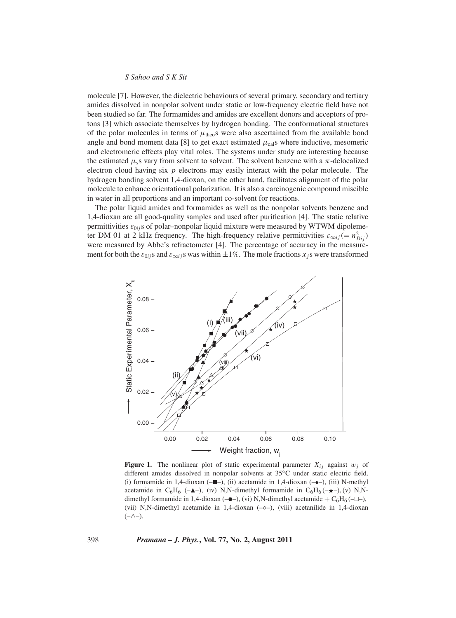molecule [7]. However, the dielectric behaviours of several primary, secondary and tertiary amides dissolved in nonpolar solvent under static or low-frequency electric field have not been studied so far. The formamides and amides are excellent donors and acceptors of protons [3] which associate themselves by hydrogen bonding. The conformational structures of the polar molecules in terms of  $\mu_{\text{theo}}$  were also ascertained from the available bond angle and bond moment data [8] to get exact estimated  $\mu_{\text{cal}}$  where inductive, mesomeric and electromeric effects play vital roles. The systems under study are interesting because the estimated  $\mu$ <sub>s</sub>s vary from solvent to solvent. The solvent benzene with a  $\pi$ -delocalized electron cloud having six *p* electrons may easily interact with the polar molecule. The hydrogen bonding solvent 1,4-dioxan, on the other hand, facilitates alignment of the polar molecule to enhance orientational polarization. It is also a carcinogenic compound miscible in water in all proportions and an important co-solvent for reactions.

The polar liquid amides and formamides as well as the nonpolar solvents benzene and 1,4-dioxan are all good-quality samples and used after purification [4]. The static relative permittivities  $\varepsilon_{0ij}$ s of polar-nonpolar liquid mixture were measured by WTWM dipolemeter DM 01 at 2 kHz frequency. The high-frequency relative permittivities  $\varepsilon_{\infty ij} (= n_{Dij}^2)$ were measured by Abbe's refractometer [4]. The percentage of accuracy in the measurement for both the  $\varepsilon_{0i}$  *j*s and  $\varepsilon_{\infty i}$  *j*s was within  $\pm 1\%$ . The mole fractions *x j*s were transformed



**Figure 1.** The nonlinear plot of static experimental parameter  $X_{ij}$  against  $w_j$  of different amides dissolved in nonpolar solvents at 35◦C under static electric field. (i) formamide in 1,4-dioxan  $(-\blacksquare -)$ , (ii) acetamide in 1,4-dioxan  $(-\bullet -)$ , (iii) N-methyl acetamide in C<sub>6</sub>H<sub>6</sub> (- $\triangle$ -), (iv) N,N-dimethyl formamide in C<sub>6</sub>H<sub>6</sub> (- $\star$ -), (v) N,Ndimethyl formamide in 1,4-dioxan ( $-\bullet$ ), (vi) N,N-dimethyl acetamide + C<sub>6</sub>H<sub>6</sub> ( $-\Box$ ), (vii) N,N-dimethyl acetamide in 1,4-dioxan (-o-), (viii) acetanilide in 1,4-dioxan  $(-\triangle -)$ .

398 *Pramana – J. Phys.***, Vol. 77, No. 2, August 2011**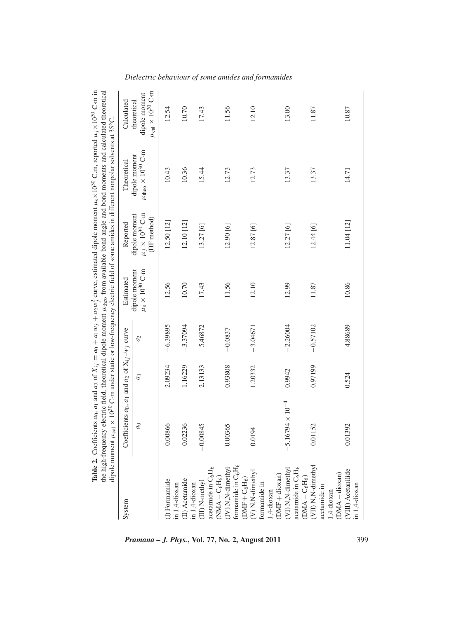|                                                                                      | <b>Table 2.</b> Coefficients $a_0$ , $a_1$ and $a_2$ of $X_{ij} = a_0 + a_1w_j + a_2w_j^2$ curve, estimated dipole moment $\mu_s \times 10^{30}$ C.m, reported $\mu_j \times 10^{30}$ C.m in<br>the high-frequency electric field, theoretical dipole moment $\mu_{\rm theo}$ from available bond angle and bond moments and calculated theoretical<br>dipole moment $\mu_{\text{cal}} \times 10^{30}$ C·m under static or low-frequency electric field of some amides in different nonpolar solvents at 35°C. |         |               |                                                              |                                                            |                                                               |                                                                         |
|--------------------------------------------------------------------------------------|----------------------------------------------------------------------------------------------------------------------------------------------------------------------------------------------------------------------------------------------------------------------------------------------------------------------------------------------------------------------------------------------------------------------------------------------------------------------------------------------------------------|---------|---------------|--------------------------------------------------------------|------------------------------------------------------------|---------------------------------------------------------------|-------------------------------------------------------------------------|
| System                                                                               | Coefficients $a_0$ , $a_1$ and $a_2$ of $X_{i,j}$ -w <sub>j</sub> curve                                                                                                                                                                                                                                                                                                                                                                                                                                        |         |               | Estimated                                                    | Reported                                                   | Theoretical                                                   | Calculated                                                              |
|                                                                                      | a <sub>0</sub>                                                                                                                                                                                                                                                                                                                                                                                                                                                                                                 | $a_1$   | $\mathcal{C}$ | dipole moment<br>$\mu_{\rm s}\times 10^{30}\,{\rm C\cdot m}$ | $\mu_j \times 10^{30}$ C·m<br>dipole moment<br>(HF method) | $\mu_{\mathrm{theo}}$ $\times$ $10^{30}$ C·m<br>dipole moment | $\mu_{\mathrm{cal}} \times 10^{30}$ C·m<br>dipole moment<br>theoretical |
| I) Formamide<br>in 1,4-dioxan                                                        | 0.00866                                                                                                                                                                                                                                                                                                                                                                                                                                                                                                        | 2.09234 | $-6.39895$    | 12.56                                                        | 12.50 [12]                                                 | 10.43                                                         | 12.54                                                                   |
| (II) Acetamide                                                                       | 0.02236                                                                                                                                                                                                                                                                                                                                                                                                                                                                                                        | 1.16229 | $-3.37094$    | 10.70                                                        | 12.10 [12]                                                 | 10.36                                                         | 10.70                                                                   |
| acetamide in C <sub>6</sub> H <sub>6</sub><br>(III) N-methyl<br>in 1,4-dioxan        | 0845<br>$-0.0$                                                                                                                                                                                                                                                                                                                                                                                                                                                                                                 | 2.13133 | 5.46872       | 17.43                                                        | 13.27 [6]                                                  | 15.44                                                         | 17.43                                                                   |
| formamide in C <sub>6</sub> H <sub>6</sub><br>$(IV)$ N, N-dimethyl<br>$NMA + C_6H_6$ | 0365                                                                                                                                                                                                                                                                                                                                                                                                                                                                                                           | 0.93808 | $-0.0837$     | 11.56                                                        | 12.90 [6]                                                  | 12.73                                                         | 11.56                                                                   |
| (V) N, N-dimethyl<br>$(DMF + C_6H_6)$<br>ormamide in<br>.,4-dioxan                   | 194<br>ತ                                                                                                                                                                                                                                                                                                                                                                                                                                                                                                       | 1.20332 | $-3.04671$    | 12.10                                                        | 12.87 [6]                                                  | 12.73                                                         | 12.10                                                                   |
| acetamide in C <sub>6</sub> H <sub>6</sub><br>(VI) N, N-dimethy<br>$(DMF + dioxan)$  | $6794 \times 10^{-4}$                                                                                                                                                                                                                                                                                                                                                                                                                                                                                          | 0.9942  | $-2.26004$    | 12.99                                                        | 12.27[6]                                                   | 13.37                                                         | 13.00                                                                   |
| $(DMA + C_6H_6)$<br>(VII) N, N-dimethyl<br>acetamide in                              | 1152<br>ွ                                                                                                                                                                                                                                                                                                                                                                                                                                                                                                      | 0.97199 | $-0.57102$    | 11.87                                                        | 12.44 [6]                                                  | 13.37                                                         | 11.87                                                                   |
| (VIII) Acetanilide<br>$(DMA + dioxan)$<br>in 1,4-dioxan<br>1,4-dioxan                | 11392<br>$_{\rm CO}^{\rm O}$                                                                                                                                                                                                                                                                                                                                                                                                                                                                                   | 0.524   | 4.88689       | 10.86                                                        | 11.04 [12]                                                 | 14.71                                                         | 10.87                                                                   |

*Dielectric beha*v*iour of some amides and formamides*

*Pramana – J. Phys.***, Vol. 77, No. 2, August 2011** 399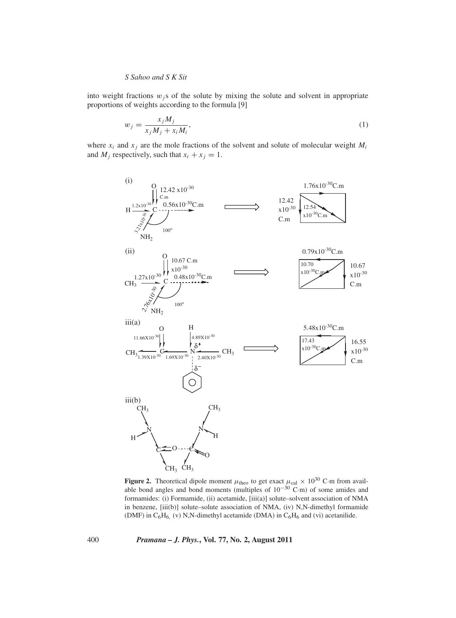into weight fractions  $w_j$ s of the solute by mixing the solute and solvent in appropriate proportions of weights according to the formula [9]

$$
w_j = \frac{x_j M_j}{x_j M_j + x_i M_i},\tag{1}
$$

where  $x_i$  and  $x_j$  are the mole fractions of the solvent and solute of molecular weight  $M_i$ and  $M_i$  respectively, such that  $x_i + x_j = 1$ .



**Figure 2.** Theoretical dipole moment  $\mu_{\text{theo}}$  to get exact  $\mu_{\text{cal}} \times 10^{30}$  C·m from available bond angles and bond moments (multiples of  $10^{-30}$  C·m) of some amides and formamides: (i) Formamide, (ii) acetamide, [iii(a)] solute–solvent association of NMA in benzene, [iii(b)] solute–solute association of NMA, (iv) N,N-dimethyl formamide (DMF) in  $C_6H_6$  (v) N,N-dimethyl acetamide (DMA) in  $C_6H_6$  and (vi) acetanilide.

400 *Pramana – J. Phys.***, Vol. 77, No. 2, August 2011**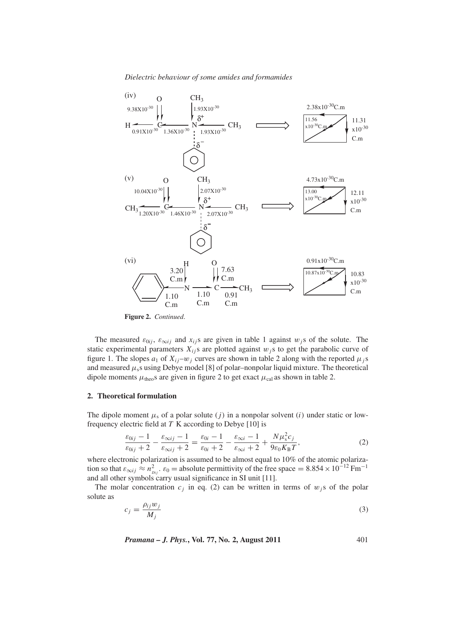*Dielectric beha*v*iour of some amides and formamides*



**Figure 2.** *Continued*.

The measured  $\varepsilon_{0ij}$ ,  $\varepsilon_{\infty ij}$  and  $x_{ij}$ s are given in table 1 against  $w_j$ s of the solute. The static experimental parameters  $X_{ij}$ s are plotted against  $w_j$ s to get the parabolic curve of figure 1. The slopes  $a_1$  of  $X_{ij}$ – $w_j$  curves are shown in table 2 along with the reported  $\mu_j$ s and measured  $\mu$ <sub>s</sub>s using Debye model [8] of polar–nonpolar liquid mixture. The theoretical dipole moments  $\mu_{\text{theo}}$ s are given in figure 2 to get exact  $\mu_{\text{cal}}$  as shown in table 2.

## **2. Theoretical formulation**

The dipole moment  $\mu_s$  of a polar solute (*j*) in a nonpolar solvent (*i*) under static or lowfrequency electric field at *T* K according to Debye [10] is

$$
\frac{\varepsilon_{0ij} - 1}{\varepsilon_{0ij} + 2} - \frac{\varepsilon_{\infty ij} - 1}{\varepsilon_{\infty ij} + 2} = \frac{\varepsilon_{0i} - 1}{\varepsilon_{0i} + 2} - \frac{\varepsilon_{\infty i} - 1}{\varepsilon_{\infty i} + 2} + \frac{N\mu_s^2 c_j}{9\varepsilon_0 K_B T},
$$
\n(2)

where electronic polarization is assumed to be almost equal to 10% of the atomic polarization so that  $\varepsilon_{\infty ij} \approx n_{Dij}^2$ .  $\varepsilon_0 =$  absolute permittivity of the free space = 8.854 × 10<sup>-12</sup> Fm<sup>-1</sup> and all other symbols carry usual significance in SI unit [11].

The molar concentration  $c_j$  in eq. (2) can be written in terms of  $w_j$ s of the polar solute as

$$
c_j = \frac{\rho_{ij} w_j}{M_j} \tag{3}
$$

*Pramana – J. Phys.***, Vol. 77, No. 2, August 2011** 401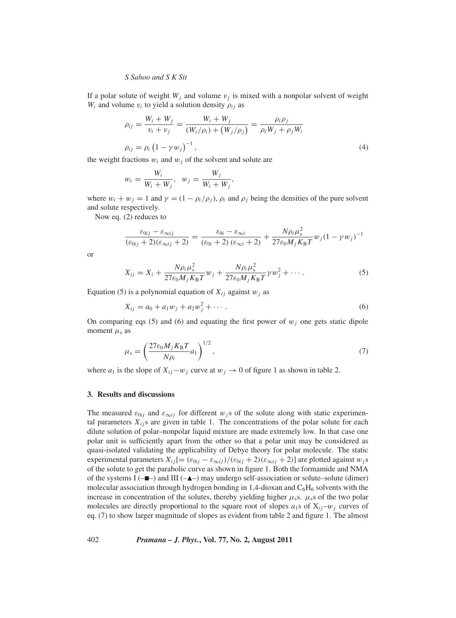If a polar solute of weight  $W_j$  and volume  $v_j$  is mixed with a nonpolar solvent of weight  $W_i$  and volume  $v_i$  to yield a solution density  $\rho_{ij}$  as

$$
\rho_{ij} = \frac{W_i + W_j}{v_i + v_j} = \frac{W_i + W_j}{(W_i/\rho_i) + (W_j/\rho_j)} = \frac{\rho_i \rho_j}{\rho_i W_j + \rho_j W_i}
$$
\n
$$
\rho_{ij} = \rho_i (1 - \gamma w_j)^{-1},
$$
\n(4)

the weight fractions  $w_i$  and  $w_j$  of the solvent and solute are

$$
w_i = \frac{W_i}{W_i + W_j}, \quad w_j = \frac{W_j}{W_i + W_j},
$$

where  $w_i + w_j = 1$  and  $\gamma = (1 - \rho_i/\rho_j)$ ,  $\rho_i$  and  $\rho_j$  being the densities of the pure solvent and solute respectively.

Now eq. (2) reduces to

$$
\frac{\varepsilon_{0ij} - \varepsilon_{\infty ij}}{(\varepsilon_{0ij} + 2)(\varepsilon_{\infty ij} + 2)} = \frac{\varepsilon_{0i} - \varepsilon_{\infty i}}{(\varepsilon_{0i} + 2)(\varepsilon_{\infty i} + 2)} + \frac{N\rho_i\mu_s^2}{27\varepsilon_0M_jK_BT}w_j(1 - \gamma w_j)^{-1}
$$

or

$$
X_{ij} = X_i + \frac{N\rho_i \mu_s^2}{27\varepsilon_0 M_j K_{\rm B}T} w_j + \frac{N\rho_i \mu_s^2}{27\varepsilon_0 M_j K_{\rm B}T} \gamma w_j^2 + \cdots
$$
 (5)

Equation (5) is a polynomial equation of  $X_{ij}$  against  $w_j$  as

$$
X_{ij} = a_0 + a_1 w_j + a_2 w_j^2 + \cdots
$$
 (6)

On comparing eqs (5) and (6) and equating the first power of  $w_j$  one gets static dipole moment  $\mu$ <sub>s</sub> as

$$
\mu_{\rm s} = \left(\frac{27\varepsilon_0 M_j K_{\rm B}T}{N\rho_i} a_1\right)^{1/2},\tag{7}
$$

where  $a_1$  is the slope of  $X_{ij}-w_j$  curve at  $w_j \to 0$  of figure 1 as shown in table 2.

## **3. Results and discussions**

The measured  $\varepsilon_{0ij}$  and  $\varepsilon_{\infty ij}$  for different w<sub>j</sub>s of the solute along with static experimental parameters  $X_{ij}$ s are given in table 1. The concentrations of the polar solute for each dilute solution of polar–nonpolar liquid mixture are made extremely low. In that case one polar unit is sufficiently apart from the other so that a polar unit may be considered as quasi-isolated validating the applicability of Debye theory for polar molecule. The static experimental parameters  $X_{ij}$ [=  $(\varepsilon_{0ij} - \varepsilon_{\infty ij})/(\varepsilon_{0ij} + 2)(\varepsilon_{\infty ij} + 2)$ ] are plotted against  $w_j$ s of the solute to get the parabolic curve as shown in figure 1. Both the formamide and NMA of the systems  $I(-\blacksquare-)$  and  $III(-\blacksquare-)$  may undergo self-association or solute–solute (dimer) molecular association through hydrogen bonding in 1,4-dioxan and  $C_6H_6$  solvents with the increase in concentration of the solutes, thereby yielding higher  $\mu$ <sub>s</sub>s.  $\mu$ <sub>s</sub>s of the two polar molecules are directly proportional to the square root of slopes  $a_1$ s of  $X_{ij}-w_j$  curves of eq. (7) to show larger magnitude of slopes as evident from table 2 and figure 1. The almost

402 *Pramana – J. Phys.***, Vol. 77, No. 2, August 2011**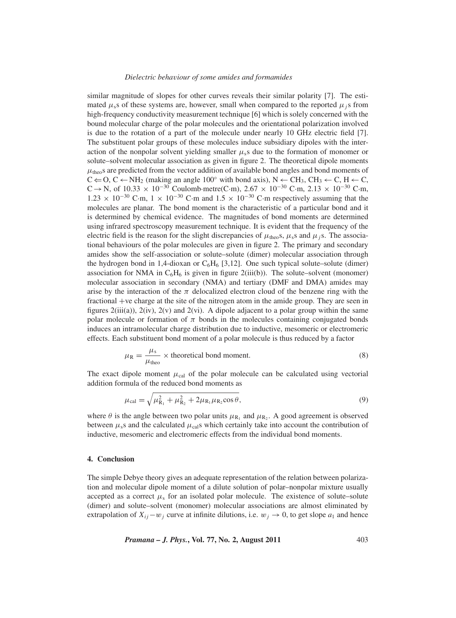#### *Dielectric beha*v*iour of some amides and formamides*

similar magnitude of slopes for other curves reveals their similar polarity [7]. The estimated  $\mu$ <sub>s</sub>s of these systems are, however, small when compared to the reported  $\mu$ <sub>i</sub>s from high-frequency conductivity measurement technique [6] which is solely concerned with the bound molecular charge of the polar molecules and the orientational polarization involved is due to the rotation of a part of the molecule under nearly 10 GHz electric field [7]. The substituent polar groups of these molecules induce subsidiary dipoles with the interaction of the nonpolar solvent yielding smaller  $\mu$ <sub>s</sub> due to the formation of monomer or solute–solvent molecular association as given in figure 2. The theoretical dipole moments  $\mu_{\text{theo}}$  are predicted from the vector addition of available bond angles and bond moments of  $C \leftarrow O, C \leftarrow NH_2$  (making an angle 100° with bond axis),  $N \leftarrow CH_3$ ,  $CH_3 \leftarrow C$ ,  $H \leftarrow C$ , C → N, of  $10.33 \times 10^{-30}$  Coulomb·metre(C·m),  $2.67 \times 10^{-30}$  C·m,  $2.13 \times 10^{-30}$  C·m,  $1.23 \times 10^{-30}$  C·m,  $1 \times 10^{-30}$  C·m and  $1.5 \times 10^{-30}$  C·m respectively assuming that the molecules are planar. The bond moment is the characteristic of a particular bond and it is determined by chemical evidence. The magnitudes of bond moments are determined using infrared spectroscopy measurement technique. It is evident that the frequency of the electric field is the reason for the slight discrepancies of  $\mu_{\text{theo}}$ s,  $\mu_s$ s and  $\mu_j$ s. The associational behaviours of the polar molecules are given in figure 2. The primary and secondary amides show the self-association or solute–solute (dimer) molecular association through the hydrogen bond in 1,4-dioxan or  $C_6H_6$  [3,12]. One such typical solute–solute (dimer) association for NMA in  $C_6H_6$  is given in figure 2(iii(b)). The solute–solvent (monomer) molecular association in secondary (NMA) and tertiary (DMF and DMA) amides may arise by the interaction of the  $\pi$  delocalized electron cloud of the benzene ring with the fractional +ve charge at the site of the nitrogen atom in the amide group. They are seen in figures  $2(iii(a))$ ,  $2(iv)$ ,  $2(v)$  and  $2(vi)$ . A dipole adjacent to a polar group within the same polar molecule or formation of  $\pi$  bonds in the molecules containing conjugated bonds induces an intramolecular charge distribution due to inductive, mesomeric or electromeric effects. Each substituent bond moment of a polar molecule is thus reduced by a factor

$$
\mu_{\rm R} = \frac{\mu_{\rm s}}{\mu_{\rm theo}} \times \text{theoretical bond moment.}
$$
\n(8)

The exact dipole moment  $\mu_{\text{cal}}$  of the polar molecule can be calculated using vectorial addition formula of the reduced bond moments as

$$
\mu_{\text{cal}} = \sqrt{\mu_{\text{R}_1}^2 + \mu_{\text{R}_2}^2 + 2\mu_{\text{R}_1}\mu_{\text{R}_2}\cos\theta},\tag{9}
$$

where  $\theta$  is the angle between two polar units  $\mu_{R_1}$  and  $\mu_{R_2}$ . A good agreement is observed between  $\mu$ <sub>s</sub>s and the calculated  $\mu$ <sub>cal</sub>s which certainly take into account the contribution of inductive, mesomeric and electromeric effects from the individual bond moments.

## **4. Conclusion**

The simple Debye theory gives an adequate representation of the relation between polarization and molecular dipole moment of a dilute solution of polar–nonpolar mixture usually accepted as a correct  $\mu_s$  for an isolated polar molecule. The existence of solute–solute (dimer) and solute–solvent (monomer) molecular associations are almost eliminated by extrapolation of  $X_{ij}$ −w<sub>j</sub> curve at infinite dilutions, i.e.  $w_j \rightarrow 0$ , to get slope  $a_1$  and hence

*Pramana – J. Phys.***, Vol. 77, No. 2, August 2011** 403